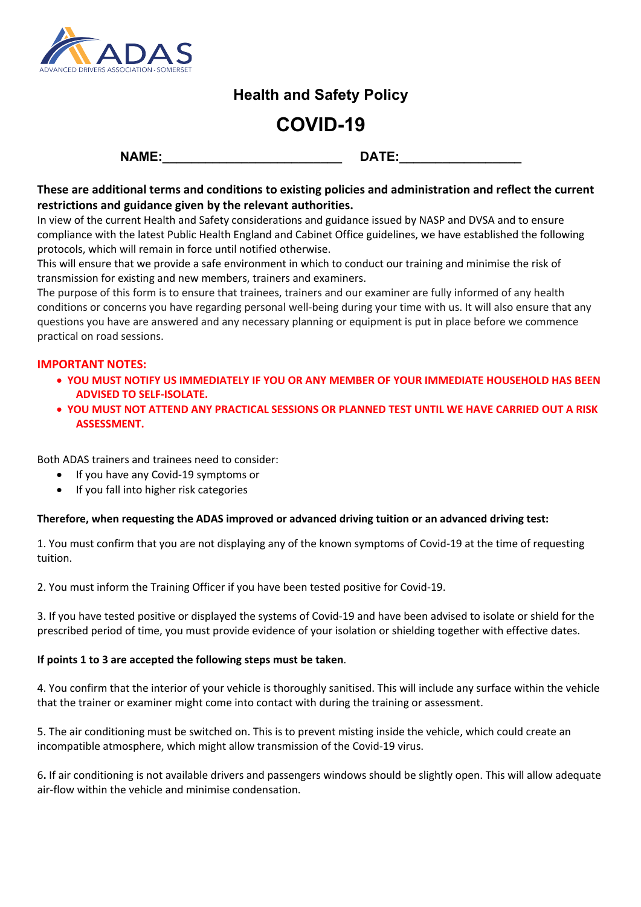

# **Health and Safety Policy**

# **COVID-19**

| $\mathbf{A}$<br>N<br>. |  |
|------------------------|--|
|------------------------|--|

### **These are additional terms and conditions to existing policies and administration and reflect the current restrictions and guidance given by the relevant authorities.**

In view of the current Health and Safety considerations and guidance issued by NASP and DVSA and to ensure compliance with the latest Public Health England and Cabinet Office guidelines, we have established the following protocols, which will remain in force until notified otherwise.

This will ensure that we provide a safe environment in which to conduct our training and minimise the risk of transmission for existing and new members, trainers and examiners.

The purpose of this form is to ensure that trainees, trainers and our examiner are fully informed of any health conditions or concerns you have regarding personal well-being during your time with us. It will also ensure that any questions you have are answered and any necessary planning or equipment is put in place before we commence practical on road sessions.

#### **IMPORTANT NOTES:**

- **YOU MUST NOTIFY US IMMEDIATELY IF YOU OR ANY MEMBER OF YOUR IMMEDIATE HOUSEHOLD HAS BEEN ADVISED TO SELF-ISOLATE.**
- **YOU MUST NOT ATTEND ANY PRACTICAL SESSIONS OR PLANNED TEST UNTIL WE HAVE CARRIED OUT A RISK ASSESSMENT.**

Both ADAS trainers and trainees need to consider:

- If you have any Covid-19 symptoms or
- If you fall into higher risk categories

#### **Therefore, when requesting the ADAS improved or advanced driving tuition or an advanced driving test:**

1. You must confirm that you are not displaying any of the known symptoms of Covid-19 at the time of requesting tuition.

2. You must inform the Training Officer if you have been tested positive for Covid-19.

3. If you have tested positive or displayed the systems of Covid-19 and have been advised to isolate or shield for the prescribed period of time, you must provide evidence of your isolation or shielding together with effective dates.

#### **If points 1 to 3 are accepted the following steps must be taken**.

4. You confirm that the interior of your vehicle is thoroughly sanitised. This will include any surface within the vehicle that the trainer or examiner might come into contact with during the training or assessment.

5. The air conditioning must be switched on. This is to prevent misting inside the vehicle, which could create an incompatible atmosphere, which might allow transmission of the Covid-19 virus.

6**.** If air conditioning is not available drivers and passengers windows should be slightly open. This will allow adequate air-flow within the vehicle and minimise condensation.